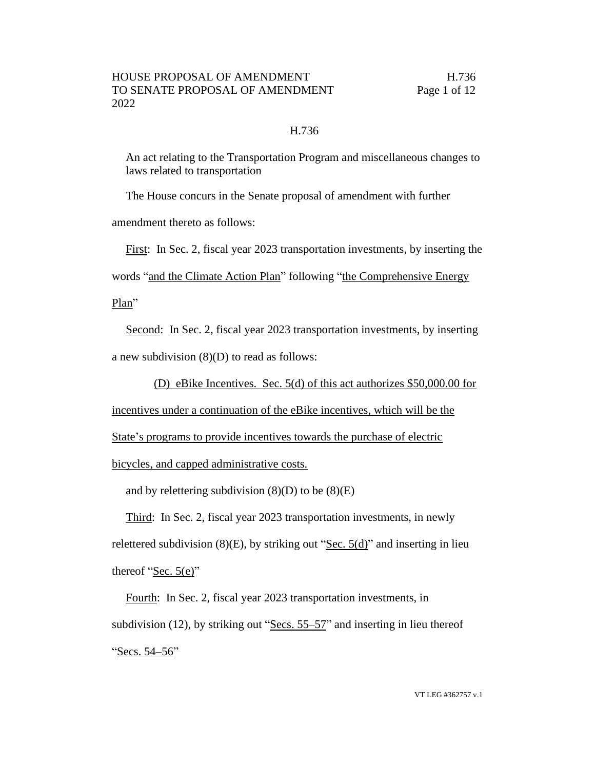## H.736

An act relating to the Transportation Program and miscellaneous changes to laws related to transportation

The House concurs in the Senate proposal of amendment with further

amendment thereto as follows:

First: In Sec. 2, fiscal year 2023 transportation investments, by inserting the words "and the Climate Action Plan" following "the Comprehensive Energy Plan"

Second: In Sec. 2, fiscal year 2023 transportation investments, by inserting a new subdivision (8)(D) to read as follows:

(D) eBike Incentives. Sec. 5(d) of this act authorizes \$50,000.00 for

incentives under a continuation of the eBike incentives, which will be the

State's programs to provide incentives towards the purchase of electric

bicycles, and capped administrative costs.

and by relettering subdivision  $(8)(D)$  to be  $(8)(E)$ 

Third: In Sec. 2, fiscal year 2023 transportation investments, in newly relettered subdivision  $(8)(E)$ , by striking out "Sec.  $5(d)$ " and inserting in lieu thereof "Sec.  $5(e)$ "

Fourth: In Sec. 2, fiscal year 2023 transportation investments, in subdivision (12), by striking out "Secs. 55–57" and inserting in lieu thereof "Secs. 54–56"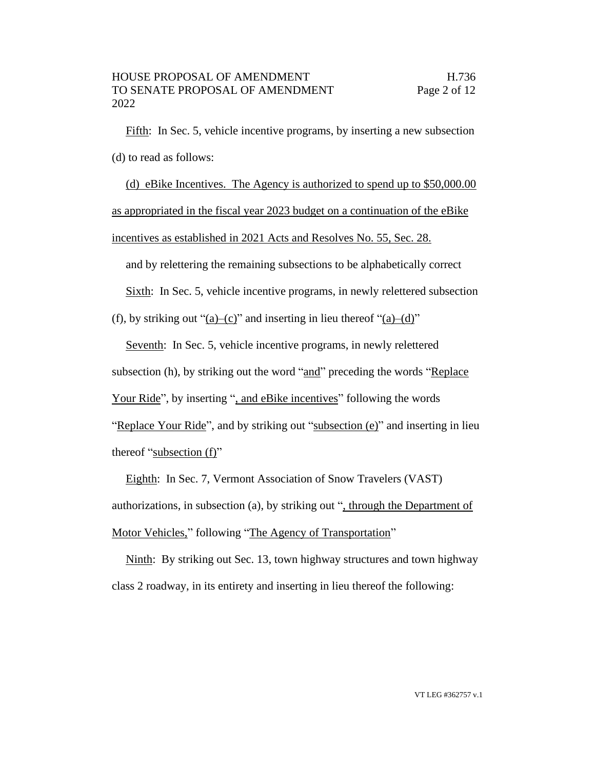Fifth: In Sec. 5, vehicle incentive programs, by inserting a new subsection (d) to read as follows:

(d) eBike Incentives. The Agency is authorized to spend up to \$50,000.00 as appropriated in the fiscal year 2023 budget on a continuation of the eBike incentives as established in 2021 Acts and Resolves No. 55, Sec. 28.

and by relettering the remaining subsections to be alphabetically correct

Sixth: In Sec. 5, vehicle incentive programs, in newly relettered subsection

(f), by striking out "(a)–(c)" and inserting in lieu thereof "(a)–(d)"

Seventh: In Sec. 5, vehicle incentive programs, in newly relettered subsection (h), by striking out the word "and" preceding the words "Replace Your Ride", by inserting ", and eBike incentives" following the words "Replace Your Ride", and by striking out "subsection (e)" and inserting in lieu thereof "subsection (f)"

Eighth: In Sec. 7, Vermont Association of Snow Travelers (VAST) authorizations, in subsection (a), by striking out ", through the Department of Motor Vehicles," following "The Agency of Transportation"

Ninth: By striking out Sec. 13, town highway structures and town highway class 2 roadway, in its entirety and inserting in lieu thereof the following: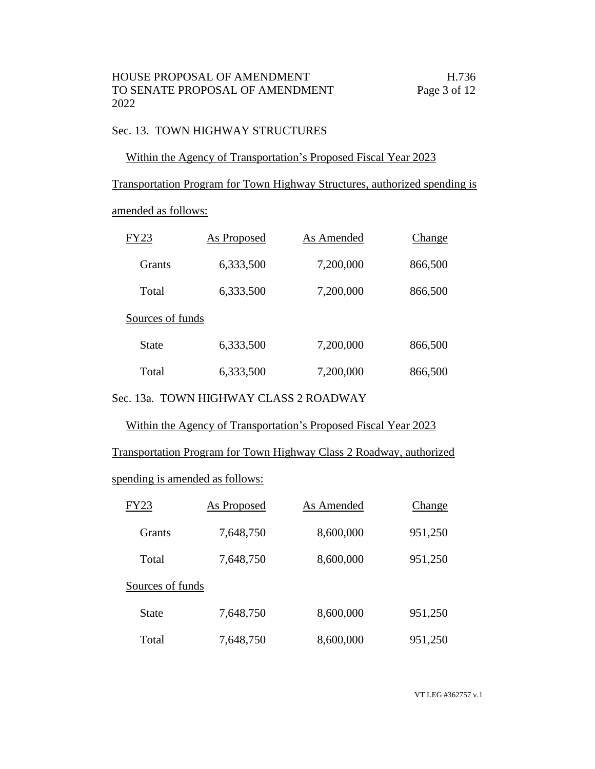# Sec. 13. TOWN HIGHWAY STRUCTURES

## Within the Agency of Transportation's Proposed Fiscal Year 2023

Transportation Program for Town Highway Structures, authorized spending is

amended as follows:

| FY23             | As Proposed | As Amended | Change  |
|------------------|-------------|------------|---------|
| Grants           | 6,333,500   | 7,200,000  | 866,500 |
| Total            | 6,333,500   | 7,200,000  | 866,500 |
| Sources of funds |             |            |         |
| State            | 6,333,500   | 7,200,000  | 866,500 |
| Total            | 6,333,500   | 7,200,000  | 866,500 |

Sec. 13a. TOWN HIGHWAY CLASS 2 ROADWAY

Within the Agency of Transportation's Proposed Fiscal Year 2023

Transportation Program for Town Highway Class 2 Roadway, authorized

spending is amended as follows:

| <b>FY23</b>      | As Proposed | As Amended | Change  |
|------------------|-------------|------------|---------|
| <b>Grants</b>    | 7,648,750   | 8,600,000  | 951,250 |
| Total            | 7,648,750   | 8,600,000  | 951,250 |
| Sources of funds |             |            |         |
| State            | 7,648,750   | 8,600,000  | 951,250 |
| Total            | 7,648,750   | 8,600,000  | 951,250 |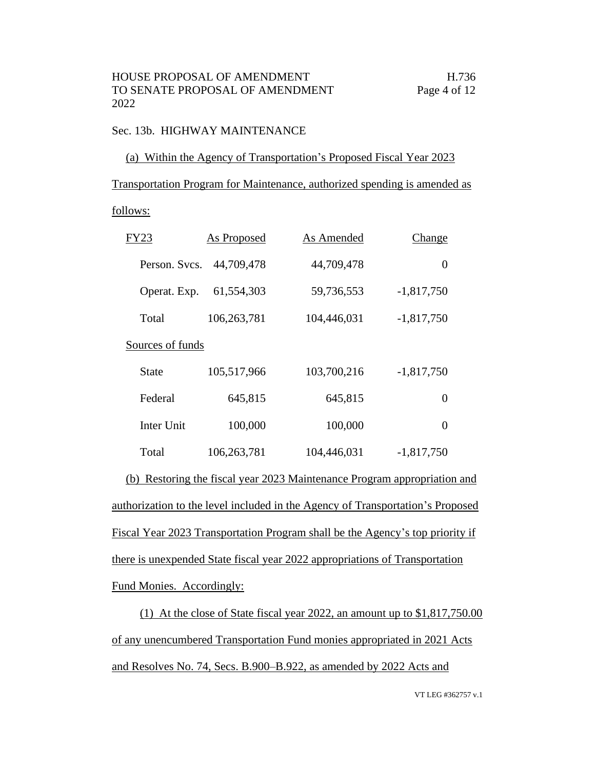## Sec. 13b. HIGHWAY MAINTENANCE

## (a) Within the Agency of Transportation's Proposed Fiscal Year 2023

Transportation Program for Maintenance, authorized spending is amended as

## follows:

| FY23             | As Proposed | As Amended  | Change       |
|------------------|-------------|-------------|--------------|
| Person. Svcs.    | 44,709,478  | 44,709,478  | 0            |
| Operat. Exp.     | 61,554,303  | 59,736,553  | $-1,817,750$ |
| Total            | 106,263,781 | 104,446,031 | $-1,817,750$ |
| Sources of funds |             |             |              |
| State            | 105,517,966 | 103,700,216 | $-1,817,750$ |
| Federal          | 645,815     | 645,815     | 0            |
| Inter Unit       | 100,000     | 100,000     | 0            |
| Total            | 106,263,781 | 104,446,031 | $-1,817,750$ |

(b) Restoring the fiscal year 2023 Maintenance Program appropriation and authorization to the level included in the Agency of Transportation's Proposed Fiscal Year 2023 Transportation Program shall be the Agency's top priority if there is unexpended State fiscal year 2022 appropriations of Transportation Fund Monies. Accordingly:

(1) At the close of State fiscal year 2022, an amount up to \$1,817,750.00 of any unencumbered Transportation Fund monies appropriated in 2021 Acts and Resolves No. 74, Secs. B.900–B.922, as amended by 2022 Acts and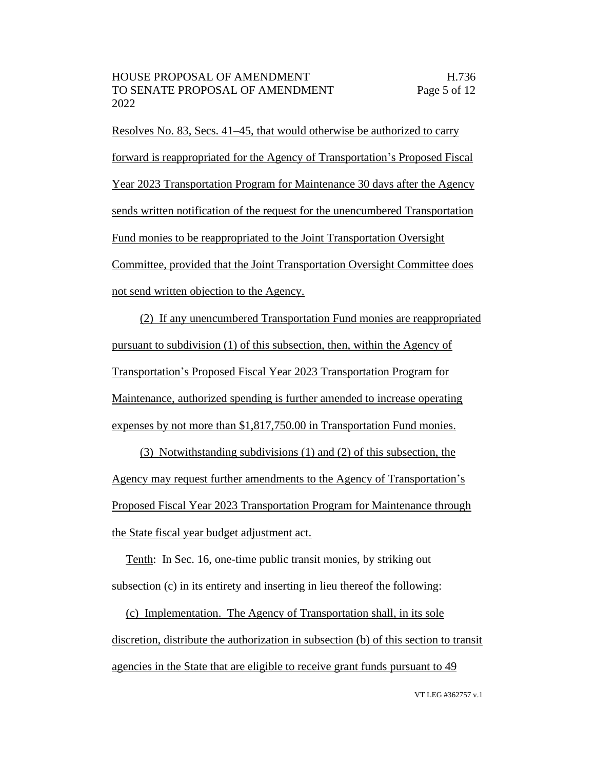Resolves No. 83, Secs. 41–45, that would otherwise be authorized to carry forward is reappropriated for the Agency of Transportation's Proposed Fiscal Year 2023 Transportation Program for Maintenance 30 days after the Agency sends written notification of the request for the unencumbered Transportation Fund monies to be reappropriated to the Joint Transportation Oversight Committee, provided that the Joint Transportation Oversight Committee does not send written objection to the Agency.

(2) If any unencumbered Transportation Fund monies are reappropriated pursuant to subdivision (1) of this subsection, then, within the Agency of Transportation's Proposed Fiscal Year 2023 Transportation Program for Maintenance, authorized spending is further amended to increase operating expenses by not more than \$1,817,750.00 in Transportation Fund monies.

(3) Notwithstanding subdivisions (1) and (2) of this subsection, the Agency may request further amendments to the Agency of Transportation's Proposed Fiscal Year 2023 Transportation Program for Maintenance through the State fiscal year budget adjustment act.

Tenth: In Sec. 16, one-time public transit monies, by striking out subsection (c) in its entirety and inserting in lieu thereof the following:

(c) Implementation. The Agency of Transportation shall, in its sole discretion, distribute the authorization in subsection (b) of this section to transit agencies in the State that are eligible to receive grant funds pursuant to 49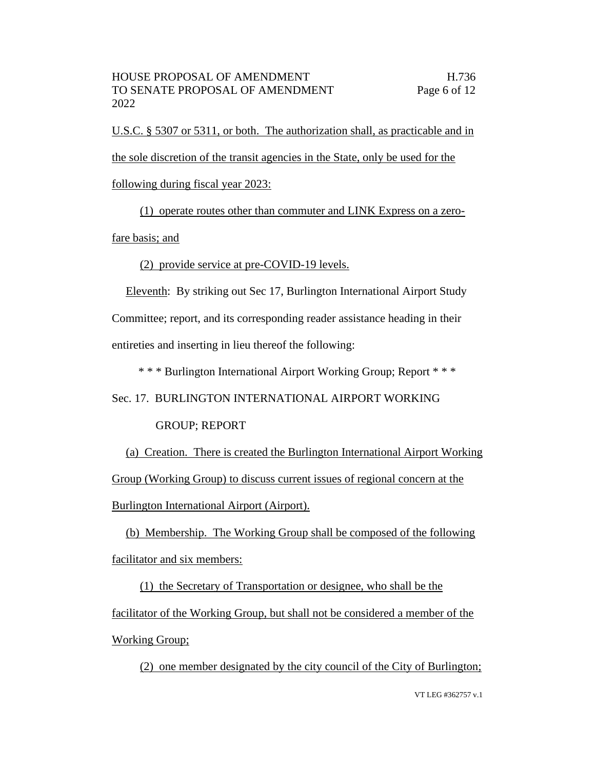U.S.C. § 5307 or 5311, or both. The authorization shall, as practicable and in the sole discretion of the transit agencies in the State, only be used for the following during fiscal year 2023:

(1) operate routes other than commuter and LINK Express on a zerofare basis; and

(2) provide service at pre-COVID-19 levels.

Eleventh: By striking out Sec 17, Burlington International Airport Study Committee; report, and its corresponding reader assistance heading in their entireties and inserting in lieu thereof the following:

\* \* \* Burlington International Airport Working Group; Report \* \* \*

Sec. 17. BURLINGTON INTERNATIONAL AIRPORT WORKING

GROUP; REPORT

(a) Creation. There is created the Burlington International Airport Working Group (Working Group) to discuss current issues of regional concern at the Burlington International Airport (Airport).

(b) Membership. The Working Group shall be composed of the following facilitator and six members:

(1) the Secretary of Transportation or designee, who shall be the facilitator of the Working Group, but shall not be considered a member of the Working Group;

(2) one member designated by the city council of the City of Burlington;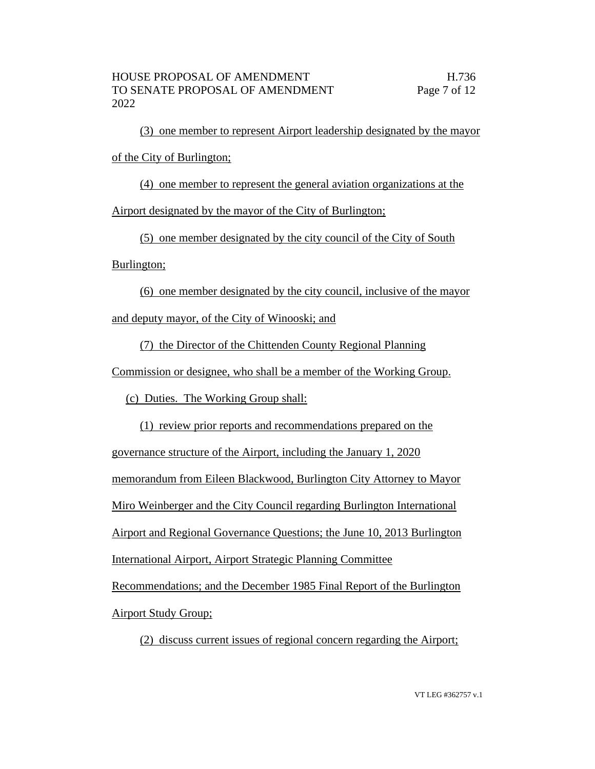(3) one member to represent Airport leadership designated by the mayor of the City of Burlington;

(4) one member to represent the general aviation organizations at the

Airport designated by the mayor of the City of Burlington;

(5) one member designated by the city council of the City of South

Burlington;

(6) one member designated by the city council, inclusive of the mayor

and deputy mayor, of the City of Winooski; and

(7) the Director of the Chittenden County Regional Planning

Commission or designee, who shall be a member of the Working Group.

(c) Duties. The Working Group shall:

(1) review prior reports and recommendations prepared on the

governance structure of the Airport, including the January 1, 2020

memorandum from Eileen Blackwood, Burlington City Attorney to Mayor

Miro Weinberger and the City Council regarding Burlington International

Airport and Regional Governance Questions; the June 10, 2013 Burlington

International Airport, Airport Strategic Planning Committee

Recommendations; and the December 1985 Final Report of the Burlington

Airport Study Group;

(2) discuss current issues of regional concern regarding the Airport;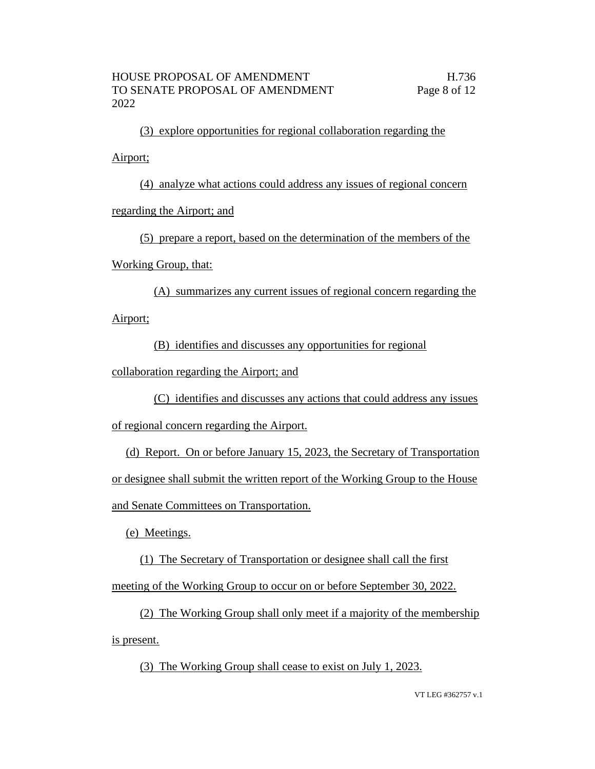(3) explore opportunities for regional collaboration regarding the

Airport;

(4) analyze what actions could address any issues of regional concern

regarding the Airport; and

(5) prepare a report, based on the determination of the members of the

Working Group, that:

(A) summarizes any current issues of regional concern regarding the Airport;

(B) identifies and discusses any opportunities for regional

collaboration regarding the Airport; and

(C) identifies and discusses any actions that could address any issues of regional concern regarding the Airport.

(d) Report. On or before January 15, 2023, the Secretary of Transportation or designee shall submit the written report of the Working Group to the House and Senate Committees on Transportation.

(e) Meetings.

(1) The Secretary of Transportation or designee shall call the first meeting of the Working Group to occur on or before September 30, 2022.

(2) The Working Group shall only meet if a majority of the membership is present.

(3) The Working Group shall cease to exist on July 1, 2023.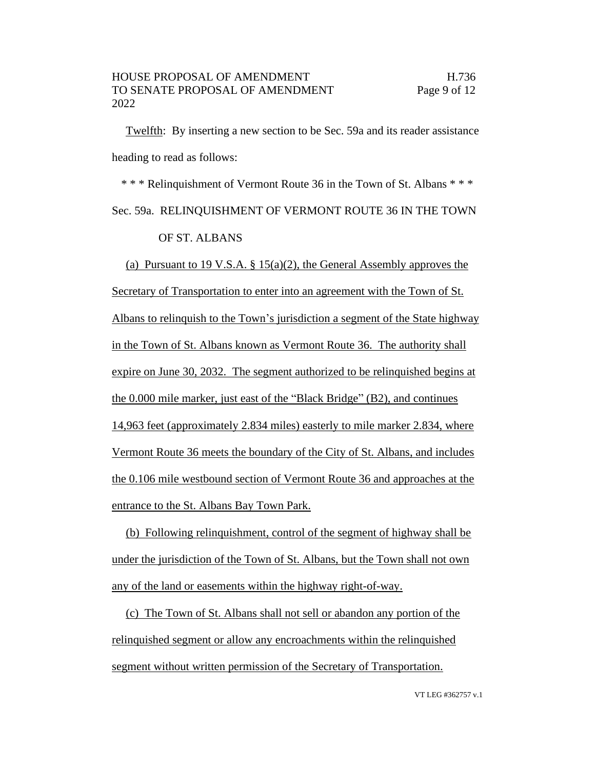Twelfth: By inserting a new section to be Sec. 59a and its reader assistance heading to read as follows:

\* \* \* Relinquishment of Vermont Route 36 in the Town of St. Albans \* \* \* Sec. 59a. RELINQUISHMENT OF VERMONT ROUTE 36 IN THE TOWN OF ST. ALBANS

(a) Pursuant to 19 V.S.A. § 15(a)(2), the General Assembly approves the Secretary of Transportation to enter into an agreement with the Town of St. Albans to relinquish to the Town's jurisdiction a segment of the State highway in the Town of St. Albans known as Vermont Route 36. The authority shall expire on June 30, 2032. The segment authorized to be relinquished begins at the 0.000 mile marker, just east of the "Black Bridge" (B2), and continues 14,963 feet (approximately 2.834 miles) easterly to mile marker 2.834, where Vermont Route 36 meets the boundary of the City of St. Albans, and includes the 0.106 mile westbound section of Vermont Route 36 and approaches at the entrance to the St. Albans Bay Town Park.

(b) Following relinquishment, control of the segment of highway shall be under the jurisdiction of the Town of St. Albans, but the Town shall not own any of the land or easements within the highway right-of-way.

(c) The Town of St. Albans shall not sell or abandon any portion of the relinquished segment or allow any encroachments within the relinquished segment without written permission of the Secretary of Transportation.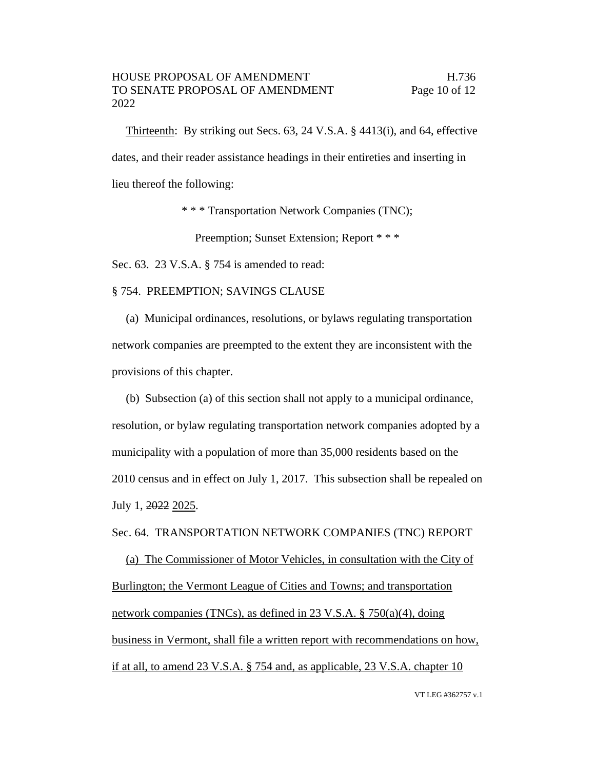Thirteenth: By striking out Secs. 63, 24 V.S.A. § 4413(i), and 64, effective dates, and their reader assistance headings in their entireties and inserting in lieu thereof the following:

\* \* \* Transportation Network Companies (TNC);

Preemption; Sunset Extension; Report \* \* \*

Sec. 63. 23 V.S.A. § 754 is amended to read:

§ 754. PREEMPTION; SAVINGS CLAUSE

(a) Municipal ordinances, resolutions, or bylaws regulating transportation network companies are preempted to the extent they are inconsistent with the provisions of this chapter.

(b) Subsection (a) of this section shall not apply to a municipal ordinance, resolution, or bylaw regulating transportation network companies adopted by a municipality with a population of more than 35,000 residents based on the 2010 census and in effect on July 1, 2017. This subsection shall be repealed on July 1, 2022 2025.

Sec. 64. TRANSPORTATION NETWORK COMPANIES (TNC) REPORT

(a) The Commissioner of Motor Vehicles, in consultation with the City of Burlington; the Vermont League of Cities and Towns; and transportation network companies (TNCs), as defined in 23 V.S.A. § 750(a)(4), doing business in Vermont, shall file a written report with recommendations on how, if at all, to amend 23 V.S.A. § 754 and, as applicable, 23 V.S.A. chapter 10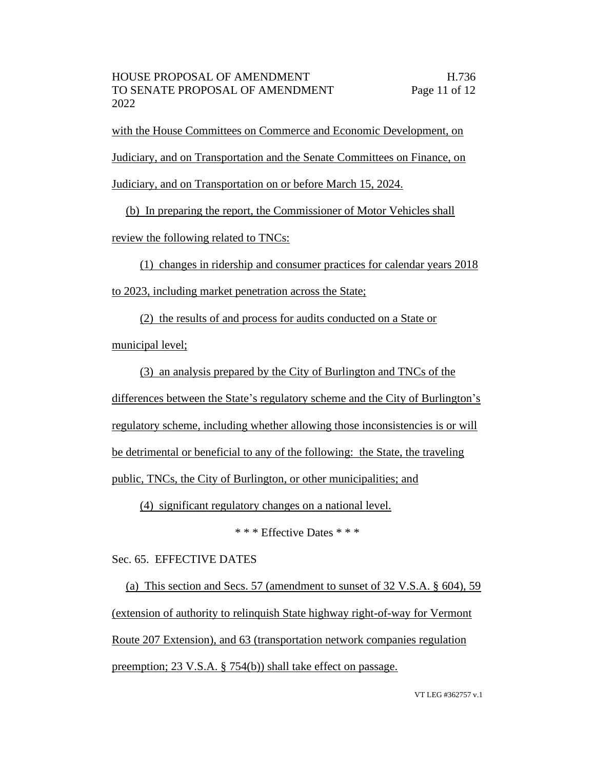with the House Committees on Commerce and Economic Development, on Judiciary, and on Transportation and the Senate Committees on Finance, on Judiciary, and on Transportation on or before March 15, 2024.

(b) In preparing the report, the Commissioner of Motor Vehicles shall review the following related to TNCs:

(1) changes in ridership and consumer practices for calendar years 2018 to 2023, including market penetration across the State;

(2) the results of and process for audits conducted on a State or

municipal level;

(3) an analysis prepared by the City of Burlington and TNCs of the

differences between the State's regulatory scheme and the City of Burlington's

regulatory scheme, including whether allowing those inconsistencies is or will

be detrimental or beneficial to any of the following: the State, the traveling

public, TNCs, the City of Burlington, or other municipalities; and

(4) significant regulatory changes on a national level.

\* \* \* Effective Dates \* \* \*

Sec. 65. EFFECTIVE DATES

(a) This section and Secs. 57 (amendment to sunset of 32 V.S.A. § 604), 59 (extension of authority to relinquish State highway right-of-way for Vermont Route 207 Extension), and 63 (transportation network companies regulation preemption; 23 V.S.A. § 754(b)) shall take effect on passage.